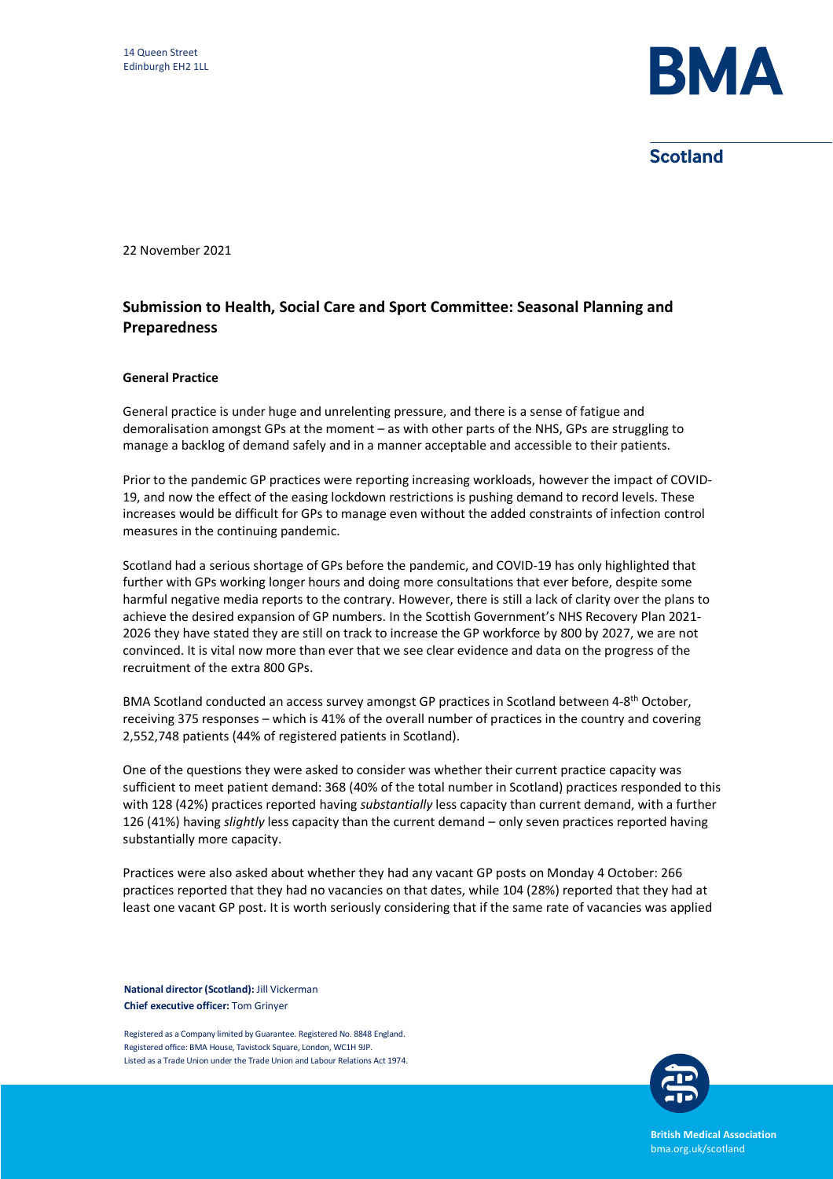

**Scotland** 

22 November 2021

## **Submission to Health, Social Care and Sport Committee: Seasonal Planning and Preparedness**

## **General Practice**

General practice is under huge and unrelenting pressure, and there is a sense of fatigue and demoralisation amongst GPs at the moment – as with other parts of the NHS, GPs are struggling to manage a backlog of demand safely and in a manner acceptable and accessible to their patients.

Prior to the pandemic GP practices were reporting increasing workloads, however the impact of COVID-19, and now the effect of the easing lockdown restrictions is pushing demand to record levels. These increases would be difficult for GPs to manage even without the added constraints of infection control measures in the continuing pandemic.

Scotland had a serious shortage of GPs before the pandemic, and COVID-19 has only highlighted that further with GPs working longer hours and doing more consultations that ever before, despite some harmful negative media reports to the contrary. However, there is still a lack of clarity over the plans to achieve the desired expansion of GP numbers. In the Scottish Government's NHS Recovery Plan 2021- 2026 they have stated they are still on track to increase the GP workforce by 800 by 2027, we are not convinced. It is vital now more than ever that we see clear evidence and data on the progress of the recruitment of the extra 800 GPs.

BMA Scotland conducted an access survey amongst GP practices in Scotland between 4-8th October, receiving 375 responses – which is 41% of the overall number of practices in the country and covering 2,552,748 patients (44% of registered patients in Scotland).

One of the questions they were asked to consider was whether their current practice capacity was sufficient to meet patient demand: 368 (40% of the total number in Scotland) practices responded to this with 128 (42%) practices reported having *substantially* less capacity than current demand, with a further 126 (41%) having *slightly* less capacity than the current demand – only seven practices reported having substantially more capacity.

Practices were also asked about whether they had any vacant GP posts on Monday 4 October: 266 practices reported that they had no vacancies on that dates, while 104 (28%) reported that they had at least one vacant GP post. It is worth seriously considering that if the same rate of vacancies was applied

**National director (Scotland):** Jill Vickerman **Chief executive officer:** Tom Grinyer

Registered as a Company limited by Guarantee. Registered No. 8848 England. Registered office: BMA House, Tavistock Square, London, WC1H 9JP. Listed as a Trade Union under the Trade Union and Labour Relations Act 1974.



**British Medical Association** bma.org.uk/scotland